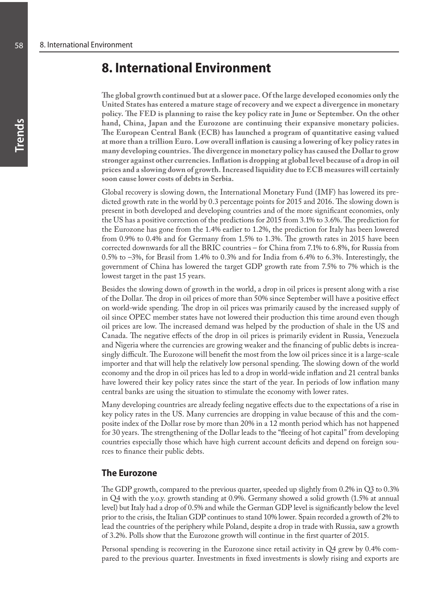# **8. International Environment**

**The global growth continued but at a slower pace. Of the large developed economies only the United States has entered a mature stage of recovery and we expect a divergence in monetary policy. The FED is planning to raise the key policy rate in June or September. On the other hand, China, Japan and the Eurozone are continuing their expansive monetary policies. The European Central Bank (ECB) has launched a program of quantitative easing valued at more than a trillion Euro. Low overall inflation is causing a lowering of key policy rates in many developing countries. The divergence in monetary policy has caused the Dollar to grow stronger against other currencies. Inflation is dropping at global level because of a drop in oil prices and a slowing down of growth. Increased liquidity due to ECB measures will certainly soon cause lower costs of debts in Serbia.**

Global recovery is slowing down, the International Monetary Fund (IMF) has lowered its predicted growth rate in the world by 0.3 percentage points for 2015 and 2016. The slowing down is present in both developed and developing countries and of the more significant economies, only the US has a positive correction of the predictions for 2015 from 3.1% to 3.6%. The prediction for the Eurozone has gone from the 1.4% earlier to 1.2%, the prediction for Italy has been lowered from 0.9% to 0.4% and for Germany from 1.5% to 1.3%. The growth rates in 2015 have been corrected downwards for all the BRIC countries – for China from 7.1% to 6.8%, for Russia from 0.5% to –3%, for Brasil from 1.4% to 0.3% and for India from 6.4% to 6.3%. Interestingly, the government of China has lowered the target GDP growth rate from 7.5% to 7% which is the lowest target in the past 15 years.

Besides the slowing down of growth in the world, a drop in oil prices is present along with a rise of the Dollar. The drop in oil prices of more than 50% since September will have a positive effect on world-wide spending. The drop in oil prices was primarily caused by the increased supply of oil since OPEC member states have not lowered their production this time around even though oil prices are low. The increased demand was helped by the production of shale in the US and Canada. The negative effects of the drop in oil prices is primarily evident in Russia, Venezuela and Nigeria where the currencies are growing weaker and the financing of public debts is increasingly difficult. The Eurozone will benefit the most from the low oil prices since it is a large-scale importer and that will help the relatively low personal spending. The slowing down of the world economy and the drop in oil prices has led to a drop in world-wide inflation and 21 central banks have lowered their key policy rates since the start of the year. In periods of low inflation many central banks are using the situation to stimulate the economy with lower rates.

Many developing countries are already feeling negative effects due to the expectations of a rise in key policy rates in the US. Many currencies are dropping in value because of this and the composite index of the Dollar rose by more than 20% in a 12 month period which has not happened for 30 years. The strengthening of the Dollar leads to the "fleeing of hot capital" from developing countries especially those which have high current account deficits and depend on foreign sources to finance their public debts.

### **The Eurozone**

The GDP growth, compared to the previous quarter, speeded up slightly from 0.2% in Q3 to 0.3% in Q4 with the y.o.y. growth standing at 0.9%. Germany showed a solid growth (1.5% at annual level) but Italy had a drop of 0.5% and while the German GDP level is significantly below the level prior to the crisis, the Italian GDP continues to stand 10% lower. Spain recorded a growth of 2% to lead the countries of the periphery while Poland, despite a drop in trade with Russia, saw a growth of 3.2%. Polls show that the Eurozone growth will continue in the first quarter of 2015.

Personal spending is recovering in the Eurozone since retail activity in Q4 grew by 0.4% compared to the previous quarter. Investments in fixed investments is slowly rising and exports are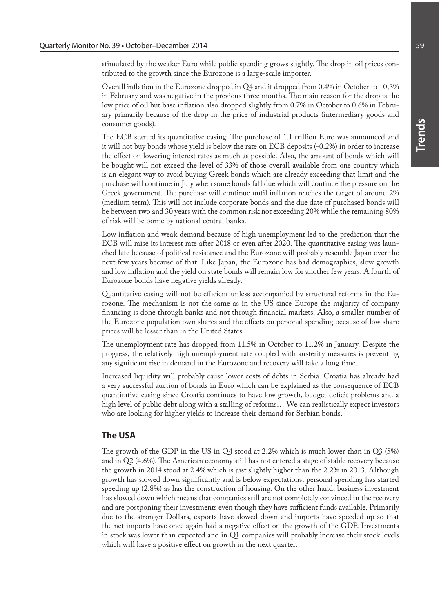stimulated by the weaker Euro while public spending grows slightly. The drop in oil prices contributed to the growth since the Eurozone is a large-scale importer.

Overall inflation in the Eurozone dropped in Q4 and it dropped from 0.4% in October to –0,3% in February and was negative in the previous three months. The main reason for the drop is the low price of oil but base inflation also dropped slightly from 0.7% in October to 0.6% in February primarily because of the drop in the price of industrial products (intermediary goods and consumer goods).

The ECB started its quantitative easing. The purchase of 1.1 trillion Euro was announced and it will not buy bonds whose yield is below the rate on ECB deposits (-0.2%) in order to increase the effect on lowering interest rates as much as possible. Also, the amount of bonds which will be bought will not exceed the level of 33% of those overall available from one country which is an elegant way to avoid buying Greek bonds which are already exceeding that limit and the purchase will continue in July when some bonds fall due which will continue the pressure on the Greek government. The purchase will continue until inflation reaches the target of around 2% (medium term). This will not include corporate bonds and the due date of purchased bonds will be between two and 30 years with the common risk not exceeding 20% while the remaining 80% of risk will be borne by national central banks.

Low inflation and weak demand because of high unemployment led to the prediction that the ECB will raise its interest rate after 2018 or even after 2020. The quantitative easing was launched late because of political resistance and the Eurozone will probably resemble Japan over the next few years because of that. Like Japan, the Eurozone has bad demographics, slow growth and low inflation and the yield on state bonds will remain low for another few years. A fourth of Eurozone bonds have negative yields already.

Quantitative easing will not be efficient unless accompanied by structural reforms in the Eurozone. The mechanism is not the same as in the US since Europe the majority of company financing is done through banks and not through financial markets. Also, a smaller number of the Eurozone population own shares and the effects on personal spending because of low share prices will be lesser than in the United States.

The unemployment rate has dropped from 11.5% in October to 11.2% in January. Despite the progress, the relatively high unemployment rate coupled with austerity measures is preventing any significant rise in demand in the Eurozone and recovery will take a long time.

Increased liquidity will probably cause lower costs of debts in Serbia. Croatia has already had a very successful auction of bonds in Euro which can be explained as the consequence of ECB quantitative easing since Croatia continues to have low growth, budget deficit problems and a high level of public debt along with a stalling of reforms... We can realistically expect investors who are looking for higher yields to increase their demand for Serbian bonds.

## **The USA**

The growth of the GDP in the US in Q4 stood at 2.2% which is much lower than in Q3 (5%) and in Q2 (4.6%). The American economy still has not entered a stage of stable recovery because the growth in 2014 stood at 2.4% which is just slightly higher than the 2.2% in 2013. Although growth has slowed down significantly and is below expectations, personal spending has started speeding up (2.8%) as has the construction of housing. On the other hand, business investment has slowed down which means that companies still are not completely convinced in the recovery and are postponing their investments even though they have sufficient funds available. Primarily due to the stronger Dollars, exports have slowed down and imports have speeded up so that the net imports have once again had a negative effect on the growth of the GDP. Investments in stock was lower than expected and in Q1 companies will probably increase their stock levels which will have a positive effect on growth in the next quarter.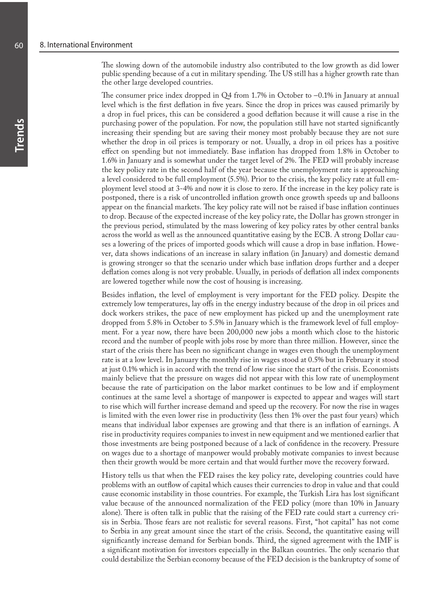The slowing down of the automobile industry also contributed to the low growth as did lower public spending because of a cut in military spending. The US still has a higher growth rate than the other large developed countries.

The consumer price index dropped in Q4 from 1.7% in October to  $-0.1\%$  in January at annual level which is the first deflation in five years. Since the drop in prices was caused primarily by a drop in fuel prices, this can be considered a good deflation because it will cause a rise in the purchasing power of the population. For now, the population still have not started significantly increasing their spending but are saving their money most probably because they are not sure whether the drop in oil prices is temporary or not. Usually, a drop in oil prices has a positive effect on spending but not immediately. Base inflation has dropped from 1.8% in October to 1.6% in January and is somewhat under the target level of 2%. The FED will probably increase the key policy rate in the second half of the year because the unemployment rate is approaching a level considered to be full employment (5.5%). Prior to the crisis, the key policy rate at full employment level stood at 3-4% and now it is close to zero. If the increase in the key policy rate is postponed, there is a risk of uncontrolled inflation growth once growth speeds up and balloons appear on the financial markets. The key policy rate will not be raised if base inflation continues to drop. Because of the expected increase of the key policy rate, the Dollar has grown stronger in the previous period, stimulated by the mass lowering of key policy rates by other central banks across the world as well as the announced quantitative easing by the ECB. A strong Dollar causes a lowering of the prices of imported goods which will cause a drop in base inflation. However, data shows indications of an increase in salary inflation (in January) and domestic demand is growing stronger so that the scenario under which base inflation drops further and a deeper deflation comes along is not very probable. Usually, in periods of deflation all index components are lowered together while now the cost of housing is increasing.

Besides inflation, the level of employment is very important for the FED policy. Despite the extremely low temperatures, lay offs in the energy industry because of the drop in oil prices and dock workers strikes, the pace of new employment has picked up and the unemployment rate dropped from 5.8% in October to 5.5% in January which is the framework level of full employment. For a year now, there have been 200,000 new jobs a month which close to the historic record and the number of people with jobs rose by more than three million. However, since the start of the crisis there has been no significant change in wages even though the unemployment rate is at a low level. In January the monthly rise in wages stood at 0.5% but in February it stood at just 0.1% which is in accord with the trend of low rise since the start of the crisis. Economists mainly believe that the pressure on wages did not appear with this low rate of unemployment because the rate of participation on the labor market continues to be low and if employment continues at the same level a shortage of manpower is expected to appear and wages will start to rise which will further increase demand and speed up the recovery. For now the rise in wages is limited with the even lower rise in productivity (less then 1% over the past four years) which means that individual labor expenses are growing and that there is an inflation of earnings. A rise in productivity requires companies to invest in new equipment and we mentioned earlier that those investments are being postponed because of a lack of confidence in the recovery. Pressure on wages due to a shortage of manpower would probably motivate companies to invest because then their growth would be more certain and that would further move the recovery forward.

History tells us that when the FED raises the key policy rate, developing countries could have problems with an outflow of capital which causes their currencies to drop in value and that could cause economic instability in those countries. For example, the Turkish Lira has lost significant value because of the announced normalization of the FED policy (more than 10% in January alone). There is often talk in public that the raising of the FED rate could start a currency crisis in Serbia. Those fears are not realistic for several reasons. First, "hot capital" has not come to Serbia in any great amount since the start of the crisis. Second, the quantitative easing will significantly increase demand for Serbian bonds. Third, the signed agreement with the IMF is a significant motivation for investors especially in the Balkan countries. The only scenario that could destabilize the Serbian economy because of the FED decision is the bankruptcy of some of